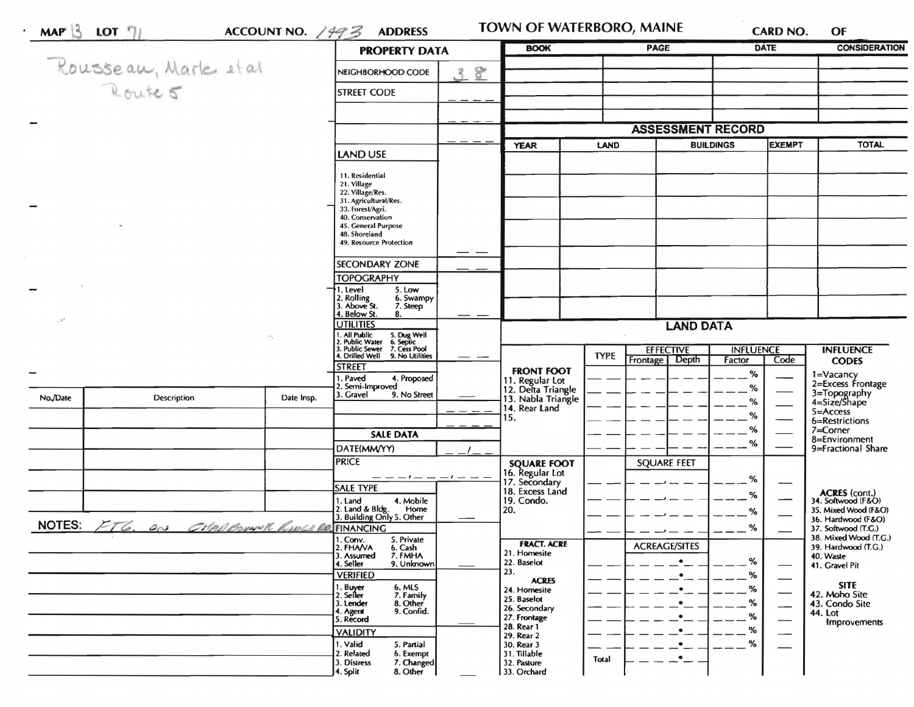|                |                                       |            |                                                                                        | <b>PROPERTY DATA</b> | <b>BOOK</b>                           | <b>PAGE</b>              |                                                               | <b>DATE</b>                       |      | <b>CONSIDERATION</b>                         |
|----------------|---------------------------------------|------------|----------------------------------------------------------------------------------------|----------------------|---------------------------------------|--------------------------|---------------------------------------------------------------|-----------------------------------|------|----------------------------------------------|
|                | Rousseau, Marle et al                 |            | NEIGHBORHOOD CODE                                                                      | 8<br>$\mathcal{R}$   |                                       |                          |                                                               |                                   |      |                                              |
|                |                                       |            | <b>STREET CODE</b>                                                                     |                      |                                       |                          |                                                               |                                   |      |                                              |
|                |                                       |            |                                                                                        |                      |                                       |                          |                                                               |                                   |      |                                              |
|                |                                       |            |                                                                                        |                      |                                       | <b>ASSESSMENT RECORD</b> |                                                               |                                   |      |                                              |
|                |                                       |            | <b>LAND USE</b>                                                                        |                      | <b>YEAR</b>                           | <b>LAND</b>              |                                                               | <b>BUILDINGS</b><br><b>EXEMPT</b> |      | <b>TOTAL</b>                                 |
|                |                                       |            |                                                                                        |                      |                                       |                          |                                                               |                                   |      |                                              |
|                |                                       |            | 11. Residential<br>21. Village                                                         |                      |                                       |                          |                                                               |                                   |      |                                              |
|                |                                       |            | 22. Village/Res.<br>31. Agricultural/Res.                                              |                      |                                       |                          |                                                               |                                   |      |                                              |
|                |                                       |            | 33. Forest/Agri.<br>40. Conservation                                                   |                      |                                       |                          |                                                               |                                   |      |                                              |
|                |                                       |            | 45. General Purpose                                                                    |                      |                                       |                          |                                                               |                                   |      |                                              |
|                |                                       |            | 48. Shoreland<br>49. Resource Protection                                               |                      |                                       |                          |                                                               |                                   |      |                                              |
|                |                                       |            |                                                                                        |                      |                                       |                          |                                                               |                                   |      |                                              |
|                |                                       |            | SECONDARY ZONE                                                                         |                      |                                       |                          |                                                               |                                   |      |                                              |
|                |                                       |            | <b>TOPOGRAPHY</b><br>5. Low<br>1. Level                                                |                      |                                       |                          |                                                               |                                   |      |                                              |
|                |                                       |            | 6. Swampy<br>2. Rolling<br>3. Above St.                                                |                      |                                       |                          |                                                               |                                   |      |                                              |
| $\mathbb{R}^n$ |                                       |            | 7. Steep<br>4. Below St.<br>8.                                                         |                      |                                       |                          |                                                               |                                   |      |                                              |
|                |                                       |            | UTILITIES                                                                              |                      |                                       |                          | <b>LAND DATA</b>                                              |                                   |      |                                              |
|                |                                       |            | 1. All Public 5. Dug Well<br>2. Public Water 6. Septic<br>3. Public Sewer 7. Cess Pool |                      |                                       |                          | <b>EFFECTIVE</b>                                              |                                   |      | <b>INFLUENCE</b>                             |
|                |                                       |            | 4. Drilled Well 9. No Utilities                                                        |                      |                                       | <b>TYPE</b>              | Depth<br>Frontage                                             | <b>INFLUENCE</b><br>Factor        | Code | <b>CODES</b>                                 |
|                |                                       |            | <b>STREET</b><br>4. Proposed<br>I. Paved                                               |                      | <b>FRONT FOOT</b>                     |                          |                                                               | %                                 |      |                                              |
|                |                                       |            | 2. Semi-Improved                                                                       |                      | 11. Regular Lot<br>12. Delta Triangle |                          |                                                               | %                                 |      | 1=Vacancy<br>2=Excess Frontage               |
| No./Date       | Description                           | Date Insp. | 9. No Street<br>3. Gravel                                                              |                      | 13. Nabla Triangle<br>14. Rear Land   |                          |                                                               | %                                 |      | 3=Topography<br>4=Size/Shape                 |
|                |                                       |            |                                                                                        |                      | 15.                                   |                          |                                                               | %                                 |      | $5 =$ Access<br>6=Restrictions               |
|                |                                       |            | <b>SALE DATA</b>                                                                       |                      |                                       |                          |                                                               | %                                 |      | 7=Corner                                     |
|                |                                       |            | DATE(MM/YY)                                                                            |                      |                                       |                          |                                                               | %                                 |      | 8=Environment<br>9=Fractional Share          |
|                |                                       |            | <b>PRICE</b>                                                                           |                      | <b>SQUARE FOOT</b>                    |                          | <b>SQUARE FEET</b>                                            |                                   |      |                                              |
|                |                                       |            |                                                                                        | $-1-$                | 16. Regular Lot                       |                          |                                                               | %                                 |      |                                              |
|                |                                       |            | SALE TYPE                                                                              |                      | 17. Secondary<br>18. Excess Land      |                          |                                                               | %                                 |      | <b>ACRES</b> (cont.)                         |
|                |                                       |            | 4. Mobile<br>1. Land<br>Home                                                           |                      | 19. Condo.<br>20.                     |                          |                                                               |                                   |      | 34. Softwood (F&O)<br>35. Mixed Wood (F&O)   |
| <b>NOTES:</b>  |                                       |            | 2. Land & Bldg. Home<br>3. Building Only 5. Other                                      |                      |                                       |                          |                                                               | ℅                                 |      | 36. Hardwood (F&O)                           |
|                | FTG. ON CHARGOWINK RIDGERO, FINANCING |            | 5. Private                                                                             |                      |                                       |                          |                                                               | %                                 |      | 37. Softwood (T.G.)<br>38. Mixed Wood (T.G.) |
|                |                                       |            | 1. Conv.<br>2. FHAVA<br>6. Cash                                                        |                      | <b>FRACT. ACRE</b><br>21. Homesite    |                          | <b>ACREAGE/SITES</b>                                          |                                   |      | 39. Hardwood (T.G.)                          |
|                |                                       |            | 7. FMHA<br>3. Assumed<br>4. Seller<br>9. Unknown                                       |                      | 22. Baselot                           |                          | $\bullet$                                                     | %                                 |      | 40. Waste<br>41. Gravel Pit                  |
|                |                                       |            | <b>VERIFIED</b>                                                                        |                      | 23.<br><b>ACRES</b>                   |                          | $\bullet$                                                     | %                                 |      |                                              |
|                |                                       |            | <b>6. MLS</b><br>1. Buyer<br>2. Seller<br>7. Family                                    |                      | 24. Homesite                          |                          |                                                               | ℅                                 |      | <b>SITE</b><br>42. Moho Site                 |
|                |                                       |            | 8. Other<br>3. Lender<br>9. Confid.<br>4. Agent                                        |                      | 25. Baselot<br>26. Secondary          |                          |                                                               | ℅                                 |      | 43. Condo Site<br>44. Lot                    |
|                |                                       |            | 5. Record                                                                              |                      | 27. Frontage<br>28. Rear 1            |                          |                                                               | ℅                                 |      | Improvements                                 |
|                |                                       |            | <b>VALIDITY</b>                                                                        |                      | 29. Rear 2                            |                          |                                                               | %                                 |      |                                              |
|                |                                       |            | 1. Valid<br>5. Partial<br>2. Related<br>6. Exempt                                      |                      | 30. Rear 3<br>31. Tillable            |                          |                                                               | %                                 |      |                                              |
|                |                                       |            | 7. Changed<br>3. Distress                                                              |                      | 32. Pasture                           | Total                    | $\hspace{0.02cm} \raisebox{0.2mm}{\text{--}}\hspace{-0.09cm}$ |                                   |      |                                              |